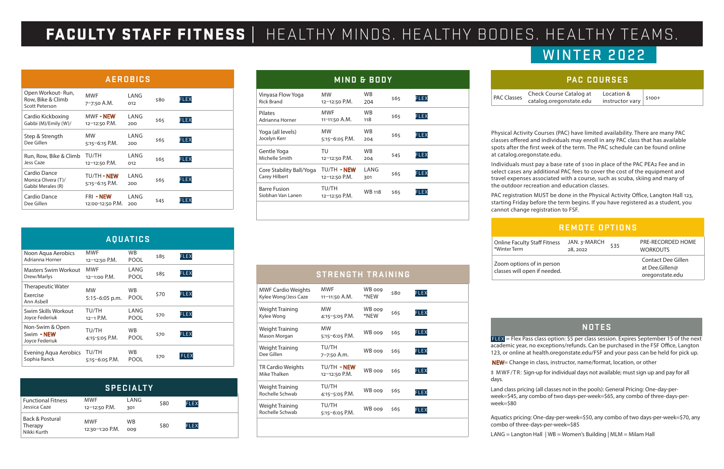

# WINTER 2022

| Noon Aqua Aerobics<br>Adrianna Horner              | MWF<br>$12 - 12:50$ P.M.  | WB.<br>POOL              | \$85 | FLEX        |  |
|----------------------------------------------------|---------------------------|--------------------------|------|-------------|--|
| Masters Swim Workout<br>Drew/Marlys                | MWF<br>$12 - 1:00$ P.M.   | LANG<br><b>POOL</b>      | \$85 | FLEX        |  |
| Therapeutic Water<br><b>Exercise</b><br>Ann Asbell | MW<br>$5:15-6:05$ p.m.    | WB.<br><b>POOL</b>       | \$70 | FLEX        |  |
| Swim Skills Workout<br>Joyce Federiuk              | TU/TH<br>$12 - 1$ P.M.    | LANG<br>POOL             | \$70 | <b>FLEX</b> |  |
| Non-Swim & Open<br>Swim - NEW<br>Joyce Federiuk    | TU/TH<br>4:15-5:05 P.M.   | <b>WB</b><br><b>POOL</b> | \$70 | FLEX        |  |
| Evening Aqua Aerobics<br>Sophia Ranck              | TU/TH<br>$5:15-6:05$ P.M. | WB.<br>POOL              | \$70 | <b>FLEX</b> |  |

Online Faculty S \*Winter Term

Zoom options o classes will open

| <b>PAC COURSES</b>                     |                               |         |
|----------------------------------------|-------------------------------|---------|
| Course Catalog at<br>g.oregonstate.edu | Location &<br>instructor vary | $$100+$ |

| <b>AEROBICS</b>                                                 |                                        |              |      |      |  |  |
|-----------------------------------------------------------------|----------------------------------------|--------------|------|------|--|--|
| Open Workout-Run,<br>Row, Bike & Climb<br><b>Scott Peterson</b> | MWF<br>7-7:50 A.M.                     | I ANG<br>012 | \$80 | FLEX |  |  |
| Cardio Kickboxing<br>Gabbi (M)/Emily (W)/                       | MWF - NEW<br>$12 - 12:50$ P.M.         | LANG<br>200  | \$65 | FLEX |  |  |
| Step & Strength<br>Dee Gillen                                   | <b>MW</b><br>$5:15-6:15$ P.M.          | LANG<br>200  | \$65 | FLEX |  |  |
| Run, Row, Bike & Climb<br>Jess Caze                             | TU/TH<br>12-12:50 P.M.                 | LANG<br>012  | \$65 | FLEX |  |  |
| Cardio Dance<br>Monica Olvera (T)/<br>Gabbi Merales (R)         | TU/TH <b>- NEW</b><br>$5:15-6:15$ P.M. | LANG<br>200  | \$65 | FLEX |  |  |
| Cardio Dance<br>Dee Gillen                                      | <b>FRI - NEW</b><br>12:00-12:50 P.M.   | I ANG<br>200 | \$45 | FLEX |  |  |

FLEX = Flex Pass class option: \$5 per class session. Expires September 15 of the next academic year, no exceptions/refunds. Can be purchased in the FSF Office, Langton 123, or online at health.oregonstate.edu/FSF and your pass can be held for pick up.

NEW= Change in class, instructor, name/format, location, or other

‡ MWF/TR: Sign-up for individual days not available; must sign up and pay for all

days.

Land class pricing (all classes not in the pools): General Pricing: One-day-perweek=\$45, any combo of two days-per-week=\$65, any combo of three-days-perweek=\$80

Aquatics pricing: One-day-per-week=\$50, any combo of two days-per-week=\$70, any combo of three-days-per-week=\$85

LANG = Langton Hall | WB = Women's Building | MLM = Milam Hall

| <b>MWF Cardio Weights</b><br>Kylee Wong/Jess Caze | MWF<br>11–11:50 A.M.                | WB 009<br>*NEW | \$80 | <b>FLEX</b> |
|---------------------------------------------------|-------------------------------------|----------------|------|-------------|
| Weight Training<br>Kylee Wong                     | MW<br>$4:15-5:05$ P.M.              | WB 009<br>*NEW | \$65 | <b>FLEX</b> |
| Weight Training<br>Mason Morgan                   | MW<br>5:15-6:05 P.M.                | WB 009         | \$65 | <b>FLEX</b> |
| Weight Training<br>Dee Gillen                     | TU/TH<br>7-7:50 A.m.                | WB 009         | \$65 | <b>FLEX</b> |
| TR Cardio Weights<br>Mike Thalken                 | <b>TU/TH - NEW</b><br>12-12:50 P.M. | WB 009         | \$65 | <b>FLEX</b> |
| Weight Training<br>Rochelle Schwab                | TU/TH<br>$4:15-5:05$ P.M.           | WB 009         | \$65 | FLEX        |
| Weight Training<br>Rochelle Schwab                | TU/TH<br>5:15-6:05 P.M.             | WB 009         | \$65 | <b>FLEX</b> |
|                                                   |                                     |                |      |             |

| <b>MIND &amp; BODY</b>                    |                                         |                    |      |             |  |
|-------------------------------------------|-----------------------------------------|--------------------|------|-------------|--|
| Vinyasa Flow Yoga<br><b>Rick Brand</b>    | <b>MW</b><br>$12 - 12:50$ P.M.          | WB.<br>204         | \$65 | <b>FLEX</b> |  |
| Pilates<br>Adrianna Horner                | MWF<br>11-11:50 A.M.                    | <b>WB</b><br>118   | \$65 | FLEX        |  |
| Yoga (all levels)<br>Jocelyn Kerr         | <b>MW</b><br>$5:15-6:05$ P.M.           | WB.<br>204         | \$65 | <b>FLEX</b> |  |
| Gentle Yoga<br>Michelle Smith             | TU<br>$12 - 12:50$ P.M.                 | WB.<br>204         | \$45 | <b>FLEX</b> |  |
| Core Stability Ball/Yoga<br>Carey Hilbert | <b>TU/TH - NEW</b><br>$12 - 12:50$ P.M. | <b>LANG</b><br>301 | \$65 | <b>FLEX</b> |  |
| <b>Barre Fusion</b><br>Siobhan Van Lanen  | TU/TH<br>12-12:50 P.M.                  | WB 118             | \$65 | FLEX        |  |

| <b>REMOTE OPTIONS</b>        |                          |      |                                                         |  |  |  |
|------------------------------|--------------------------|------|---------------------------------------------------------|--|--|--|
| Staff Fitness                | JAN. 3-MARCH<br>28, 2022 | \$35 | PRE-RECORDED HOME<br><b>WORKOUTS</b>                    |  |  |  |
| of in person<br>n if needed. |                          |      | Contact Dee Gillen<br>at Dee.Gillen@<br>oregonstate.edu |  |  |  |

| <b>SPECIALTY</b>                          |                               |             |      |             |  |  |
|-------------------------------------------|-------------------------------|-------------|------|-------------|--|--|
| <b>Functional Fitness</b><br>Jessica Caze | MWF<br>12-12:50 P.M.          | LANG<br>301 | \$80 | <b>FLEX</b> |  |  |
| Back & Postural<br>Therapy<br>Nikki Kurth | <b>MWF</b><br>12:30-1:20 P.M. | WB<br>009   | \$80 | <b>FLEX</b> |  |  |

**AQUATICS**

#### **NOTES**

### **STRENGTH TRAINING**

Physical Activity Courses (PAC) have limited availability. There are many PAC classes offered and individuals may enroll in any PAC class that has available spots after the first week of the term. The PAC schedule can be found online at catalog.oregonstate.edu.

Individuals must pay a base rate of \$100 in place of the PAC PEA2 Fee and in select cases any additional PAC fees to cover the cost of the equipment and travel expenses associated with a course, such as scuba, skiing and many of the outdoor recreation and education classes.

PAC registration MUST be done in the Physical Activity Office, Langton Hall 123, starting Friday before the term begins. If you have registered as a student, you cannot change registration to FSF.

## FACULTY STAFF FITNESS | HEALTHY MINDS. HEALTHY BODIES. HEALTHY TEAMS.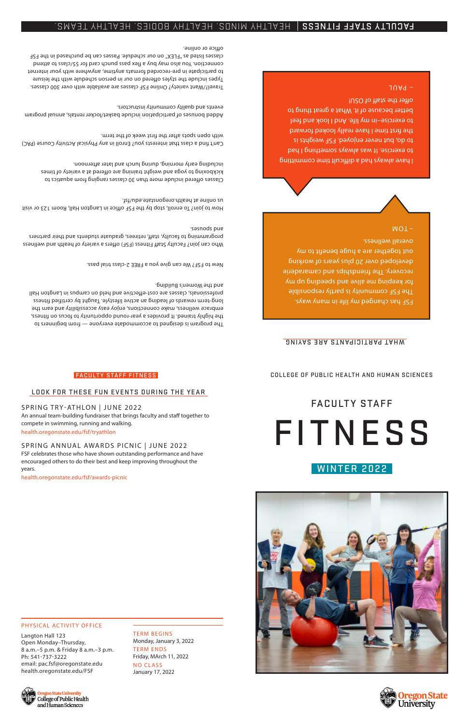#### FACULT Y STAFF FITNESS

#### COLLEGE OF PUBLIC HEALTH AND HUMAN SCIENCES

#### LOOK FOR THESE FUN EVENTS DURING THE YEAR

SPRING TRY-ATHLON | JUNE 2022 An annual team-building fundraiser that brings faculty and staff together to compete in swimming, running and walking.

health.oregonstate.edu/fsf/tryathlon

#### SPRING ANNUAL AWARDS PICNIC | JUNE 2022

FSF celebrates those who have shown outstanding performance and have encouraged others to do their best and keep improving throughout the years.

health.oregonstate.edu/fsf/awards-picnic

## FACULTY STAFF FITNESS







#### PHYSICAL ACTIVITY OFFICE

Langton Hall 123 Open Monday–Thursday, 8 a.m.–5 p.m. & Friday 8 a.m.–3 p.m. Ph: 541-737-3222 email: pac.fsf@oregonstate.edu health.oregonstate.edu/FSF

#### TERM BEGINS

Monday, January 3, 2022 TERM ENDSFriday, MArch 11, 2022 NO CLASS January 17, 2022